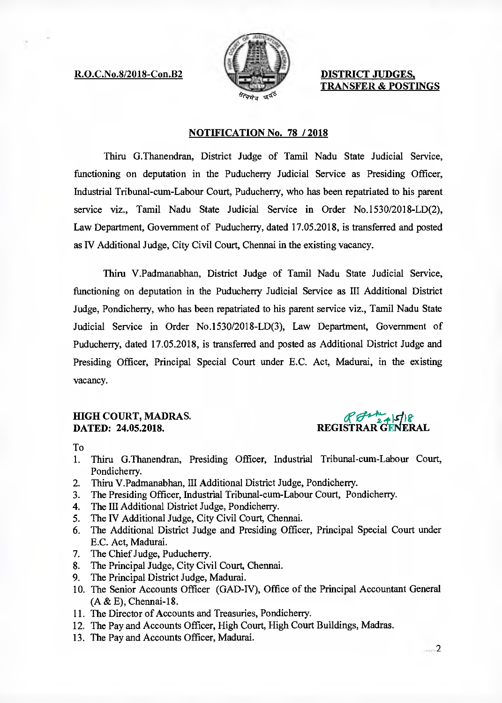R.O.C.No.8/2018-Con.B2 **DISTRICT JUDGES,** 



**TRANSFER & POSTINGS** 

## **NOTIFICATION No. 78 / 2018**

Thiru G.Thanendran, District Judge of Tamil Nadu State Judicial Service, functioning on deputation in the Puducherry Judicial Service as Presiding Officer, Industrial Tribunal-cum-Labour Court, Puducherry, who has been repatriated to his parent service viz., Tamil Nadu State Judicial Service in Order No.1530/2018-LD(2), Law Department, Government of Puducherry, dated 17.05.2018, is transferred and posted as IV Additional Judge, City Civil Court, Chennai in the existing vacancy.

Thiru V.Padmanabhan, District Judge of Tamil Nadu State Judicial Service, functioning on deputation in the Puducherry Judicial Service as III Additional District Judge, Pondicherry, who has been repatriated to his parent service viz., Tamil Nadu State Judicial Service in Order No.1530/2018-LD(3), Law Department, Government of Puducherry, dated 17.05.2018, is transferred and posted as Additional District Judge and Presiding Officer, Principal Special Court under E.C. Act, Madurai, in the existing vacancy.

## **HIGH COURT, MADRAS. DATED: 24.05.2018.**

creesA'2. ":-t<sup>i</sup> **REGISTRAR** G**ENERAL** 

To

- 1. Thiru G.Thanendran, Presiding Officer, Industrial Tribunal-cum-Labour Court, Pondicherry.
- 2. Thiru V.Padmanabhan, III Additional District Judge, Pondicherry.
- 3. The Presiding Officer, Industrial Tribunal-cum-Labour Court, Pondicherry.
- 4. The **III** Additional District Judge, Pondicherry.
- 5. The IV Additional Judge, City Civil Court, Chennai.
- 6. The Additional District Judge and Presiding Officer, Principal Special Court under E.C. Act, Madurai.
- 7. The Chief Judge, Puducherry.
- 8. The Principal Judge, City Civil Court, Chennai.
- 9. The Principal District Judge, Madurai.
- 10. The Senior Accounts Officer (GAD-IV), Office of the Principal Accountant General (A & E), Chennai-18.
- 11. The Director of Accounts and Treasuries, Pondicherry.
- 12. The Pay and Accounts Officer, High Court, High Court Buildings, Madras.
- 13. The Pay and Accounts Officer, Madurai.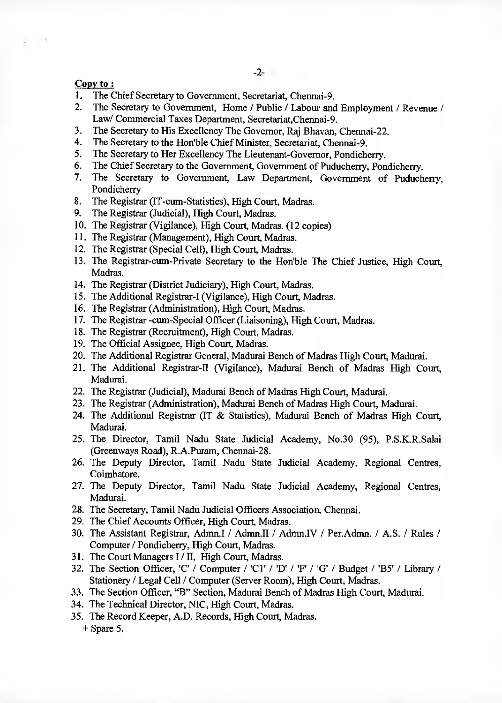## Cony to:

- 1. The Chief Secretary to Government, Secretariat, Chennai-9.<br>2. The Secretary to Government. Home / Public / Labour and
- 2. The Secretary to Government, Home / Public / Labour and Employment / Revenue / Law/ Commercial Taxes Department, Secretariat,Chennai-9.
- 3. The Secretary to His Excellency The Governor, Raj Bhavan, Chennai-22.<br>4. The Secretary to the Hon'ble Chief Minister, Secretariat, Chennai-9
- 4. The Secretary to the Hon'ble Chief Minister, Secretariat, Chennai-9.<br>5. The Secretary to Her Excellency The Lieutenant-Governor, Pondich
- 5. The Secretary to Her Excellency The Lieutenant-Governor, Pondicherry.<br>6. The Chief Secretary to the Government. Government of Puducherry. Pon
- 6. The Chief Secretary to the Government, Government of Puducherry, Pondicherry.<br>
7. The Secretary to Government. Law Department. Government of Puduch
- The Secretary to Government, Law Department, Government of Puducherry, Pondicherry
- 8. The Registrar (IT-cum-Statistics), High Court, Madras.
- 9. The Registrar (Judicial), High Court, Madras.
- 10. The Registrar (Vigilance), High Court, Madras. (12 copies)
- 11. The Registrar (Management), High Court, Madras.
- 12. The Registrar (Special Cell), High Court, Madras.
- 13. The Registrar-cum-Private Secretary to the Hon'ble The Chief Justice, High Court, Madras.
- 14. The Registrar (District Judiciary), High Court, Madras.
- 15. The Additional Registrar-I (Vigilance), High Court, Madras.
- 16. The Registrar (Administration), High Court, Madras.
- 17. The Registrar -cum-Special Officer (Liaisoning), High Court, Madras,
- 18. The Registrar (Recruitment), High Court, Madras.
- 19. The Official Assignee, High Court, Madras.
- 20. The Additional Registrar General, Madurai Bench of Madras High Court, Madurai.
- 21. The Additional Registrar-II (Vigilance), Madurai Bench of Madras High Court, Madurai.
- 22. The Registrar (Judicial), Madurai Bench of Madras High Court, Madurai.
- 23. The Registrar (Administration), Madurai Bench of Madras High Court, Madurai.
- 24. The Additional Registrar (IT & Statistics), Madurai Bench of Madras High Court, Madurai.
- 25. The Director, Tamil Nadu State Judicial Academy, No.30 (95), P.S.K.R.Salai (Greenways Road), R.A.Puram, Chennai-28.
- 26. The Deputy Director, Tamil Nadu State Judicial Academy, Regional Centres, Coimbatore.
- 27. The Deputy Director, Tamil Nadu State Judicial Academy, Regional Centres, Madurai.
- 28. The Secretary, Tamil Nadu Judicial Officers Association, Chennai.
- 29. The Chief Accounts Officer, High Court, Madras.
- 30. The Assistant Registrar, Admn.I / Admn.II / Admn.IV / Per.Admn. / A.S. / Rules / Computer / Pondicherry, High Court, Madras.
- 31. The Court Managers I / II, High Court, Madras.
- 32. The Section Officer, 'C' / Computer / 'Cl' / 'D' / 'F' / 'G' / Budget / 'B5' / Library! Stationery / Legal Cell / Computer (Server Room), High Court, Madras.
- 33. The Section Officer, "B" Section, Madurai Bench of Madras High Court, Madurai.
- 34. The Technical Director, NIC, High Court, Madras.
- 35. The Record Keeper, A.D. Records, High Court, Madras. + Spare 5.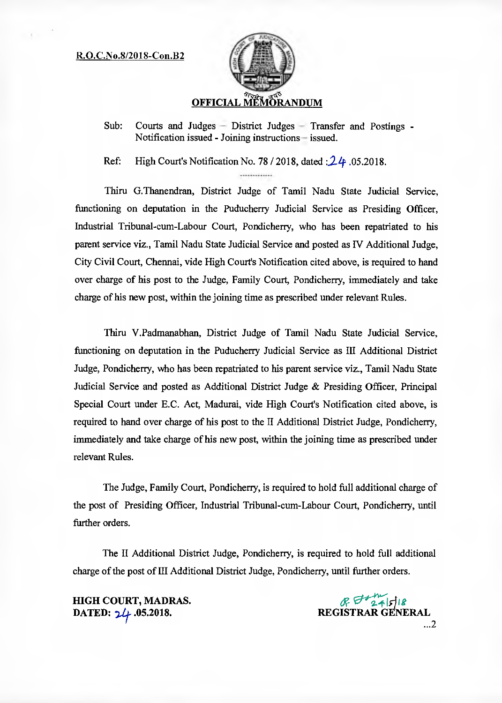## R.O.C.No.8/2018-Con.132



Sub: Courts and Judges — District Judges — Transfer and Postings - Notification issued - Joining instructions — issued.

Ref: High Court's Notification No. 78 / 2018, dated *:*24 .05.2018.

Thin G.Thanendran, District Judge of Tamil Nadu State Judicial Service, functioning on deputation in the Puducherry Judicial Service as Presiding Officer, Industrial Tribunal-cum-Labour Court, Pondicherry, who has been repatriated to his parent service viz., Tamil Nadu State Judicial Service and posted as IV Additional Judge, City Civil Court, Chennai, vide High Court's Notification cited above, is required to hand over charge of his post to the Judge, Family Court, Pondicherry, immediately and take charge of his new post, within the joining time as prescribed under relevant Rules.

Thin V.Padmanabhan, District Judge of Tamil Nadu State Judicial Service, functioning on deputation in the Puducherry Judicial Service as III Additional District Judge, Pondicherry, who has been repatriated to his parent service viz., Tamil Nadu State Judicial Service and posted as Additional District Judge & Presiding Officer, Principal Special Court under E.C. Act, Madurai, vide High Court's Notification cited above, is required to hand over charge of his post to the II Additional District Judge, Pondicherry, immediately and take charge of his new post, within the joining time as prescribed under relevant Rules.

The Judge, Family Court, Pondicherry, is required to hold full additional charge of the post of Presiding Officer, Industrial Tribunal-cum-Labour Court, Pondicherry, until further orders.

The II Additional District Judge, Pondicherry, is required to hold full additional charge of the post of III Additional District Judge, Pondicherry, until further orders.